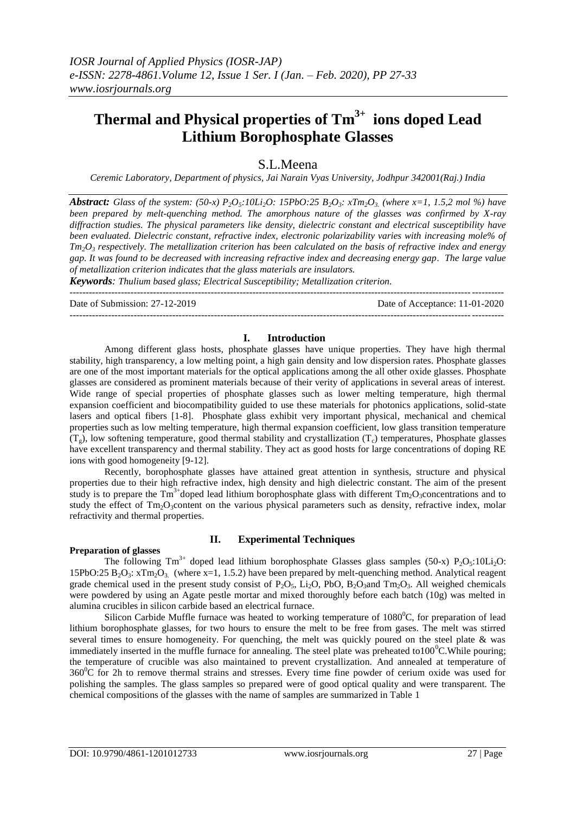# **Thermal and Physical properties of Tm3+ ions doped Lead Lithium Borophosphate Glasses**

# S.L.Meena

*Ceremic Laboratory, Department of physics, Jai Narain Vyas University, Jodhpur 342001(Raj.) India*

*Abstract: Glass of the system:*  $(50-x) P_2O_5$ :10Li<sub>2</sub>O: 15PbO:25 B<sub>2</sub>O<sub>3</sub>:  $xTm_2O_3$ . (where  $x=1, 1.5, 2 \text{ mol } \%$ ) have *been prepared by melt-quenching method. The amorphous nature of the glasses was confirmed by X-ray diffraction studies. The physical parameters like density, dielectric constant and electrical susceptibility have been evaluated. Dielectric constant, refractive index, electronic polarizability varies with increasing mole% of Tm2O<sup>3</sup> respectively. The metallization criterion has been calculated on the basis of refractive index and energy gap. It was found to be decreased with increasing refractive index and decreasing energy gap. The large value of metallization criterion indicates that the glass materials are insulators.* 

*Keywords: Thulium based glass; Electrical Susceptibility; Metallization criterion.*

--------------------------------------------------------------------------------------------------------------------------------------- Date of Submission: 27-12-2019 Date of Acceptance: 11-01-2020

---------------------------------------------------------------------------------------------------------------------------------------

#### **I. Introduction**

Among different glass hosts, phosphate glasses have unique properties. They have high thermal stability, high transparency, a low melting point, a high gain density and low dispersion rates. Phosphate glasses are one of the most important materials for the optical applications among the all other oxide glasses. Phosphate glasses are considered as prominent materials because of their verity of applications in several areas of interest. Wide range of special properties of phosphate glasses such as lower melting temperature, high thermal expansion coefficient and biocompatibility guided to use these materials for photonics applications, solid-state lasers and optical fibers [1-8]. Phosphate glass exhibit very important physical, mechanical and chemical properties such as low melting temperature, high thermal expansion coefficient, low glass transition temperature  $(T<sub>g</sub>)$ , low softening temperature, good thermal stability and crystallization  $(T<sub>c</sub>)$  temperatures, Phosphate glasses have excellent transparency and thermal stability. They act as good hosts for large concentrations of doping RE ions with good homogeneity [9-12].

Recently, borophosphate glasses have attained great attention in synthesis, structure and physical properties due to their high refractive index, high density and high dielectric constant. The aim of the present study is to prepare the  $Tm^{3+}$ doped lead lithium borophosphate glass with different  $Tm_2O_3$ concentrations and to study the effect of  $Tm<sub>2</sub>O<sub>3</sub>$ content on the various physical parameters such as density, refractive index, molar refractivity and thermal properties.

#### **Preparation of glasses**

# **II. Experimental Techniques**

The following  $Tm^{3+}$  doped lead lithium borophosphate Glasses glass samples (50-x) P<sub>2</sub>O<sub>5</sub>:10Li<sub>2</sub>O: 15PbO:25 B<sub>2</sub>O<sub>3</sub>:  $xTm_2O_3$ . (where  $x=1, 1.5.2$ ) have been prepared by melt-quenching method. Analytical reagent grade chemical used in the present study consist of  $P_2O_5$ , Li<sub>2</sub>O, PbO, B<sub>2</sub>O<sub>3</sub>and Tm<sub>2</sub>O<sub>3</sub>. All weighed chemicals were powdered by using an Agate pestle mortar and mixed thoroughly before each batch (10g) was melted in alumina crucibles in silicon carbide based an electrical furnace.

Silicon Carbide Muffle furnace was heated to working temperature of  $1080^{\circ}$ C, for preparation of lead lithium borophosphate glasses, for two hours to ensure the melt to be free from gases. The melt was stirred several times to ensure homogeneity. For quenching, the melt was quickly poured on the steel plate & was immediately inserted in the muffle furnace for annealing. The steel plate was preheated to  $100^{\circ}$ C. While pouring; the temperature of crucible was also maintained to prevent crystallization. And annealed at temperature of 360 <sup>0</sup>C for 2h to remove thermal strains and stresses. Every time fine powder of cerium oxide was used for polishing the samples. The glass samples so prepared were of good optical quality and were transparent. The chemical compositions of the glasses with the name of samples are summarized in Table 1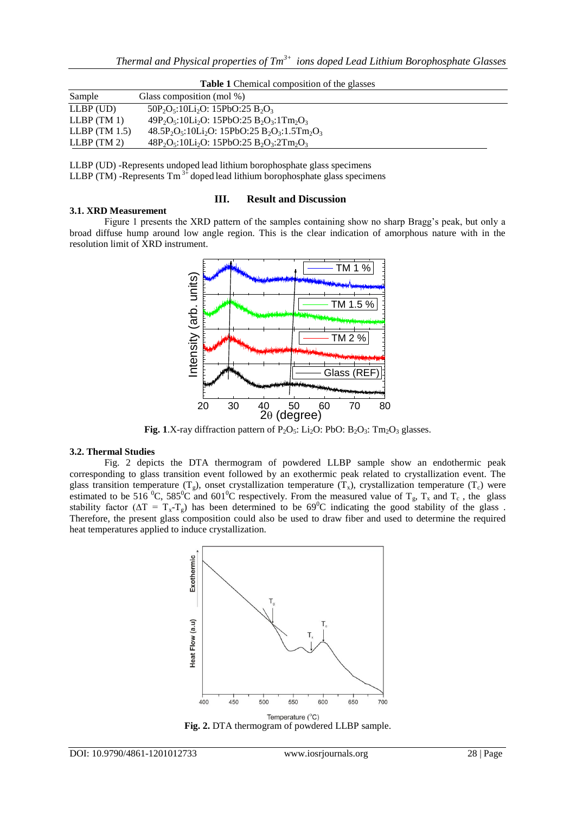| <b>Table 1</b> Chemical composition of the glasses |
|----------------------------------------------------|
|----------------------------------------------------|

| Sample          | Glass composition (mol %)                      |  |  |
|-----------------|------------------------------------------------|--|--|
| $LLBP$ (UD)     | $50P_2O_5:10Li_2O:15PbO:25B_2O_3$              |  |  |
| $LLBP$ (TM 1)   | $49P_2O_5:10Li_2O:15PbO:25B_2O_3:1Tm_2O_3$     |  |  |
| LLBP $(TM 1.5)$ | $48.5P_2O_5:10Li_2O:15PbO:25B_2O_3:1.5Tm_2O_3$ |  |  |
| $LLBP$ (TM 2)   | $48P_2O_5:10Li_2O:15PbO:25 B_2O_3:2Tm_2O_3$    |  |  |

LLBP (UD) -Represents undoped lead lithium borophosphate glass specimens LLBP (TM) -Represents  $Tm^{3+}$  doped lead lithium borophosphate glass specimens

# **III. Result and Discussion**

Figure 1 presents the XRD pattern of the samples containing show no sharp Bragg's peak, but only a broad diffuse hump around low angle region. This is the clear indication of amorphous nature with in the resolution limit of XRD instrument.



**Fig. 1**.X-ray diffraction pattern of  $P_2O_5$ : Li<sub>2</sub>O: PbO: B<sub>2</sub>O<sub>3</sub>: Tm<sub>2</sub>O<sub>3</sub> glasses.

#### **3.2. Thermal Studies**

**3.1. XRD Measurement**

Fig. 2 depicts the DTA thermogram of powdered LLBP sample show an endothermic peak corresponding to glass transition event followed by an exothermic peak related to crystallization event. The glass transition temperature (T<sub>g</sub>), onset crystallization temperature (T<sub>x</sub>), crystallization temperature (T<sub>c</sub>) were estimated to be 516<sup>°</sup>C, 585<sup>°</sup>C and 601<sup>°</sup>C respectively. From the measured value of T<sub>g</sub>, T<sub>x</sub> and T<sub>c</sub>, the glass stability factor ( $\Delta T = T_x - T_g$ ) has been determined to be 69<sup>0</sup>C indicating the good stability of the glass. Therefore, the present glass composition could also be used to draw fiber and used to determine the required heat temperatures applied to induce crystallization.



**Fig. 2.** DTA thermogram of powdered LLBP sample.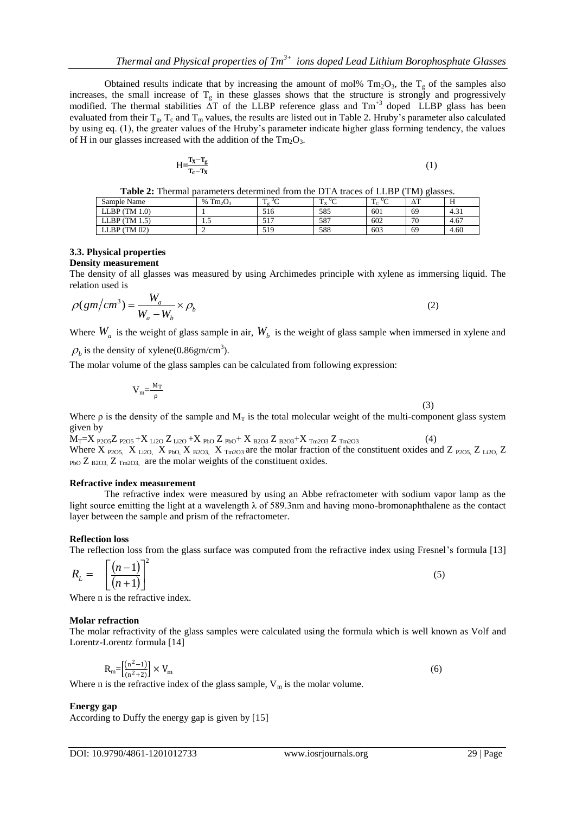Obtained results indicate that by increasing the amount of mol%  $Tm_2O_3$ , the  $T_g$  of the samples also increases, the small increase of  $T_g$  in these glasses shows that the structure is strongly and progressively modified. The thermal stabilities  $\tilde{\Delta}T$  of the LLBP reference glass and  $Tm^{+3}$  doped LLBP glass has been evaluated from their  $T_g$ ,  $T_c$  and  $T_m$  values, the results are listed out in Table 2. Hruby's parameter also calculated by using eq. (1), the greater values of the Hruby's parameter indicate higher glass forming tendency, the values of H in our glasses increased with the addition of the  $Tm_2O_3$ .

$$
H = \frac{T_X - T_g}{T_c - T_X} \tag{1}
$$

|  |  | <b>Table 2:</b> Thermal parameters determined from the DTA traces of LLBP (TM) glasses. |
|--|--|-----------------------------------------------------------------------------------------|
|--|--|-----------------------------------------------------------------------------------------|

| .<br>.        | .<br>.            |                                             | .                                  |                                           |         |      |
|---------------|-------------------|---------------------------------------------|------------------------------------|-------------------------------------------|---------|------|
| Sample Name   | $Tm_2O_3$<br>$\%$ | 0<<br><b>CONTINUES</b><br>$\pm \sigma$<br>◡ | $\mathbf{r}$<br>0<<br>$\mathbf{v}$ | $\mathbf{r}$<br>$0\sim$<br>1 <sup>c</sup> | œ<br>Δ1 | -    |
| LLBP (TM 1.0) |                   | 516                                         | 585                                | 601                                       | 69      | 4.31 |
| LLBP (TM 1.5) | ن د               | <b>E</b> 1 7<br>نتدب                        | 587                                | 602                                       | 70      | 4.67 |
| LLBP (TM 02)  | -                 | 519                                         | 588                                | 603                                       | 69      | 4.60 |

# **3.3. Physical properties**

**Density measurement** 

The density of all glasses was measured by using Archimedes principle with xylene as immersing liquid. The relation used is

$$
\rho(gm/cm^3) = \frac{W_a}{W_a - W_b} \times \rho_b
$$
\n(2)

Where  $W_a$  is the weight of glass sample in air,  $W_b$  is the weight of glass sample when immersed in xylene and

 $\rho_b$  is the density of xylene(0.86gm/cm<sup>3</sup>).

The molar volume of the glass samples can be calculated from following expression:

$$
V_m = \frac{M_T}{\rho} \tag{3}
$$

Where  $\rho$  is the density of the sample and  $M_T$  is the total molecular weight of the multi-component glass system given by

 $M_T=X$   $_{P2O5}Z$   $_{P2O5}+X$   $_{Li2O}Z$   $_{Li2O}+X$   $_{PbO}Z$   $_{PbO}+X$   $_{B2O3}Z$   $_{B2O3}+X$   $_{Tm2O3}Z$   $_{Tm2O3}$  (4) Where X  $_{P2O5}$ , X  $_{Li2O}$ , X  $_{PbO}$ , X  $_{B2O3}$ , X  $_{Tm2O3}$  are the molar fraction of the constituent oxides and Z  $_{P2O5}$ , Z  $_{Li2O}$ , Z  $_{\text{PbO}}$  Z  $_{\text{B2O3}}$ , Z  $_{\text{Tm2O3}}$  are the molar weights of the constituent oxides.

#### **Refractive index measurement**

The refractive index were measured by using an Abbe refractometer with sodium vapor lamp as the light source emitting the light at a wavelength λ of 589.3nm and having mono-bromonaphthalene as the contact layer between the sample and prism of the refractometer.

# **Reflection loss**

The reflection loss from the glass surface was computed from the refractive index using Fresnel's formula [13]

$$
R_L = \left[\frac{(n-1)}{(n+1)}\right]^2 \tag{5}
$$

Where n is the refractive index.

# **Molar refraction**

The molar refractivity of the glass samples were calculated using the formula which is well known as Volf and Lorentz-Lorentz formula [14]

$$
R_m = \left[\frac{(n^2 - 1)}{(n^2 + 2)}\right] \times V_m
$$
\n(6)

Where n is the refractive index of the glass sample,  $V_m$  is the molar volume.

# **Energy gap**

According to Duffy the energy gap is given by [15]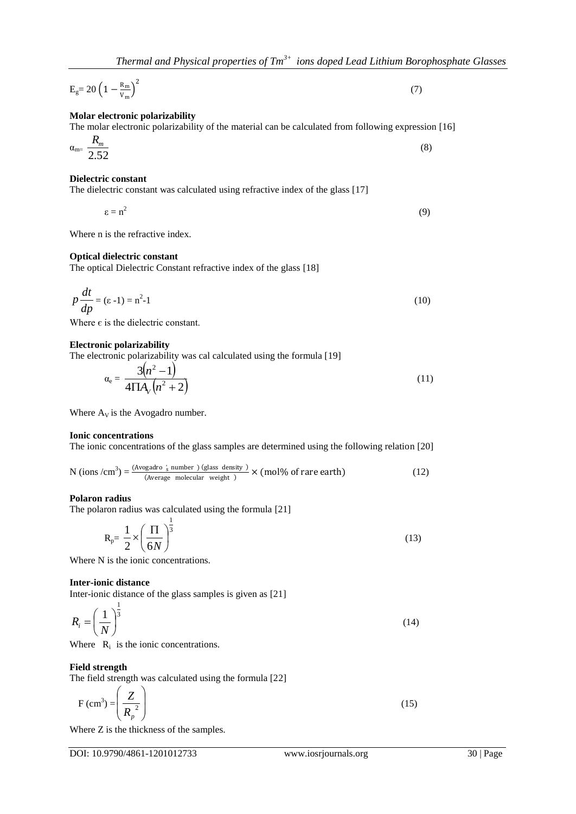$$
E_g = 20 \left(1 - \frac{R_m}{v_m}\right)^2 \tag{7}
$$

#### **Molar electronic polarizability**

#### The molar electronic polarizability of the material can be calculated from following expression [16] *Rm*

$$
\alpha_{\rm m} = \frac{R_{m}}{2.52} \tag{8}
$$

#### **Dielectric constant**

The dielectric constant was calculated using refractive index of the glass [17]

$$
\varepsilon = n^2 \tag{9}
$$

Where n is the refractive index.

#### **Optical dielectric constant**

The optical Dielectric Constant refractive index of the glass [18]

$$
p\frac{dt}{dp} = (\varepsilon - 1) = n^2 - 1\tag{10}
$$

Where  $\epsilon$  is the dielectric constant.

#### **Electronic polarizability**

The electronic polarizability was cal calculated using the formula [19]

$$
\alpha_{\rm e} = \frac{3(n^2 - 1)}{4 \Pi A_V (n^2 + 2)}\tag{11}
$$

Where  $A_V$  is the Avogadro number.

#### **Ionic concentrations**

The ionic concentrations of the glass samples are determined using the following relation [20]

N (ions /cm<sup>3</sup>) = 
$$
\frac{\text{(Avogadro 's number ) (glass density )}}{\text{(Average molecular weight )}} \times \text{(mol\% of rare earth)}
$$
 (12)

#### **Polaron radius**

The polaron radius was calculated using the formula [21]

$$
R_p = \frac{1}{2} \times \left(\frac{\Pi}{6N}\right)^{\frac{1}{3}}
$$
\n(13)

Where N is the ionic concentrations.

#### **Inter-ionic distance**

Inter-ionic distance of the glass samples is given as [21]

$$
R_i = \left(\frac{1}{N}\right)^{\frac{1}{3}}
$$
 (14)

Where  $R_i$  is the ionic concentrations.

#### **Field strength**

The field strength was calculated using the formula [22]

$$
F\left(\text{cm}^3\right) = \left(\frac{Z}{R_p^2}\right) \tag{15}
$$

Where Z is the thickness of the samples.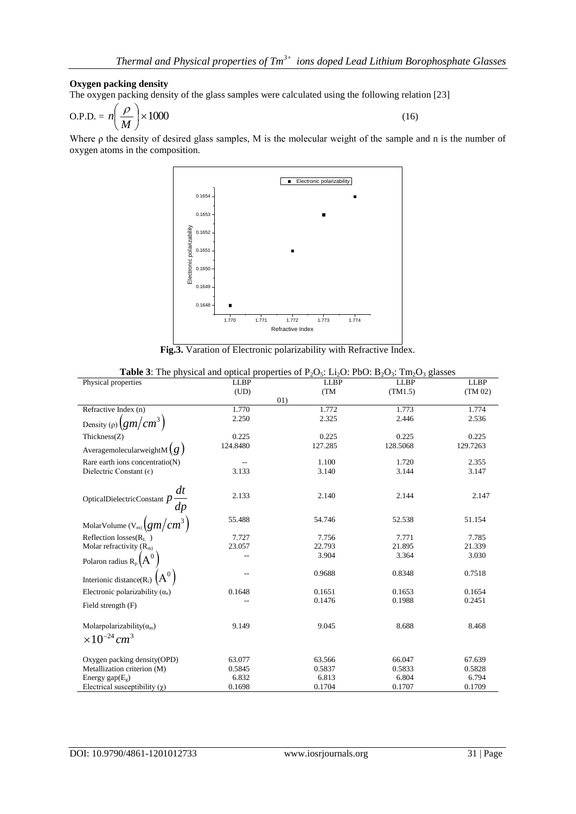#### **Oxygen packing density**

The oxygen packing density of the glass samples were calculated using the following relation [23]

$$
O.P.D. = n \left(\frac{\rho}{M}\right) \times 1000\tag{16}
$$

Where ρ the density of desired glass samples, M is the molecular weight of the sample and n is the number of oxygen atoms in the composition.



**Fig.3.** Varation of Electronic polarizability with Refractive Index.

| <b>Table 5:</b> The physical and optical properties of $P_2O_5$ : $L_2O$ : PDO: $D_2O_3$ : Thi <sub>2</sub> O <sub>3</sub> glasses |                          |             |             |             |  |  |
|------------------------------------------------------------------------------------------------------------------------------------|--------------------------|-------------|-------------|-------------|--|--|
| Physical properties                                                                                                                | <b>LLBP</b>              | <b>LLBP</b> | <b>LLBP</b> | <b>LLBP</b> |  |  |
|                                                                                                                                    | (UD)                     | (TM         | (TM1.5)     | (TM 02)     |  |  |
|                                                                                                                                    |                          | 01)         |             |             |  |  |
| Refractive Index (n)                                                                                                               | 1.770                    | 1.772       | 1.773       | 1.774       |  |  |
| Density (p) $\left(gm/cm^3\right)$                                                                                                 | 2.250                    | 2.325       | 2.446       | 2.536       |  |  |
|                                                                                                                                    |                          |             |             |             |  |  |
| Thickness $(Z)$                                                                                                                    | 0.225                    | 0.225       | 0.225       | 0.225       |  |  |
|                                                                                                                                    | 124.8480                 | 127.285     | 128.5068    | 129.7263    |  |  |
| AveragemolecularweightM $(g)$                                                                                                      |                          |             |             |             |  |  |
| Rare earth ions concentratio(N)                                                                                                    | $\overline{\phantom{m}}$ | 1.100       | 1.720       | 2.355       |  |  |
| Dielectric Constant $(\epsilon)$                                                                                                   | 3.133                    | 3.140       | 3.144       | 3.147       |  |  |
|                                                                                                                                    |                          |             |             |             |  |  |
|                                                                                                                                    |                          |             |             |             |  |  |
|                                                                                                                                    | 2.133                    | 2.140       | 2.144       | 2.147       |  |  |
| OpticalDielectricConstant $p \frac{dt}{dp}$                                                                                        |                          |             |             |             |  |  |
|                                                                                                                                    | 55.488                   | 54.746      | 52.538      | 51.154      |  |  |
| MolarVolume $(V_m)$ $(gm/cm^3)$                                                                                                    |                          |             |             |             |  |  |
| Reflection losses $(RL)$                                                                                                           | 7.727                    | 7.756       | 7.771       | 7.785       |  |  |
| Molar refractivity $(Rm)$                                                                                                          | 23.057                   | 22.793      | 21.895      | 21.339      |  |  |
|                                                                                                                                    |                          | 3.904       | 3.364       | 3.030       |  |  |
| Polaron radius $R_p(A^0)$                                                                                                          |                          |             |             |             |  |  |
|                                                                                                                                    |                          | 0.9688      | 0.8348      | 0.7518      |  |  |
| Interionic distance(R <sub>i</sub> ) $(A^0)$                                                                                       |                          |             |             |             |  |  |
| Electronic polarizability $(\alpha_e)$                                                                                             | 0.1648                   | 0.1651      | 0.1653      | 0.1654      |  |  |
|                                                                                                                                    |                          | 0.1476      | 0.1988      | 0.2451      |  |  |
| Field strength (F)                                                                                                                 |                          |             |             |             |  |  |
|                                                                                                                                    |                          |             |             |             |  |  |
| Molarpolarizability $(\alpha_m)$                                                                                                   | 9.149                    | 9.045       | 8.688       | 8.468       |  |  |
| $\times 10^{-24}$ cm <sup>3</sup>                                                                                                  |                          |             |             |             |  |  |
|                                                                                                                                    |                          |             |             |             |  |  |
|                                                                                                                                    |                          |             |             |             |  |  |
| Oxygen packing density (OPD)                                                                                                       | 63.077                   | 63.566      | 66.047      | 67.639      |  |  |
| Metallization criterion (M)                                                                                                        | 0.5845                   | 0.5837      | 0.5833      | 0.5828      |  |  |
| Energy gap $(E_g)$                                                                                                                 | 6.832                    | 6.813       | 6.804       | 6.794       |  |  |
| Electrical susceptibility $(\chi)$                                                                                                 | 0.1698                   | 0.1704      | 0.1707      | 0.1709      |  |  |

|  | <b>Table 3:</b> The physical and optical properties of $P_2O_5$ : Li <sub>2</sub> O: PbO: B <sub>2</sub> O <sub>3</sub> : Tm <sub>2</sub> O <sub>3</sub> glasses |  |
|--|------------------------------------------------------------------------------------------------------------------------------------------------------------------|--|
|--|------------------------------------------------------------------------------------------------------------------------------------------------------------------|--|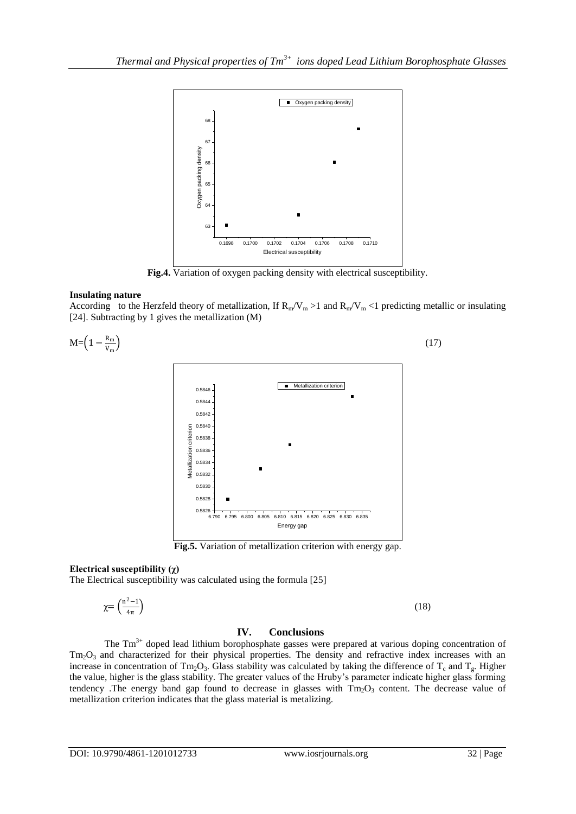

**Fig.4.** Variation of oxygen packing density with electrical susceptibility.

# **Insulating nature**

According to the Herzfeld theory of metallization, If  $R_m/V_m > 1$  and  $R_m/V_m < 1$  predicting metallic or insulating [24]. Subtracting by 1 gives the metallization (M)



# **Electrical susceptibility (χ)**

The Electrical susceptibility was calculated using the formula [25]

$$
\chi = \left(\frac{n^2 - 1}{4\pi}\right) \tag{18}
$$

# **IV. Conclusions**

The  $Tm<sup>3+</sup>$  doped lead lithium borophosphate gasses were prepared at various doping concentration of Tm<sub>2</sub>O<sub>3</sub> and characterized for their physical properties. The density and refractive index increases with an increase in concentration of  $Tm_2O_3$ . Glass stability was calculated by taking the difference of  $T_c$  and  $T_g$ . Higher the value, higher is the glass stability. The greater values of the Hruby's parameter indicate higher glass forming tendency .The energy band gap found to decrease in glasses with  $Tm<sub>2</sub>O<sub>3</sub>$  content. The decrease value of metallization criterion indicates that the glass material is metalizing.